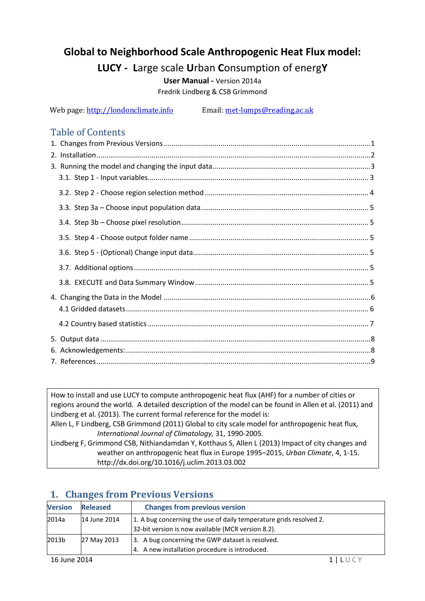# **Global to Neighborhood Scale Anthropogenic Heat Flux model:**

# **LUCY - L**arge scale **U**rban **C**onsumption of energ**Y**

**User Manual -** Version 2014a Fredrik Lindberg & CSB Grimmond

Web page[: http://londonclimate.info](http://londonclimate.info/) Email: met-lumps@reading.ac.uk

### Table of Contents

How to install and use LUCY to compute anthropogenic heat flux (AHF) for a number of cities or regions around the world. A detailed description of the model can be found in Allen et al. (2011) and Lindberg et al. (2013). The current formal reference for the model is: Allen L, F Lindberg, CSB Grimmond (2011) Global to city scale model for anthropogenic heat flux*, International Journal of Climatology,* 31, 1990-2005. Lindberg F, Grimmond CSB, Nithiandamdan Y, Kotthaus S, Allen L (2013) Impact of city changes and weather on anthropogenic heat flux in Europe 1995–2015, *Urban Climate*, 4, 1-15. http://dx.doi.org/10.1016/j.uclim.2013.03.002

| <b>Version</b> | <b>Released</b> | <b>Changes from previous version</b>                                                                                     |  |
|----------------|-----------------|--------------------------------------------------------------------------------------------------------------------------|--|
| 2014a          | 14 June 2014    | 1. A bug concerning the use of daily temperature grids resolved 2.<br>32-bit version is now available (MCR version 8.2). |  |
| 2013b          | 27 May 2013     | 3. A bug concerning the GWP dataset is resolved.<br>4. A new installation procedure is introduced.                       |  |
| 16 June 2014   |                 |                                                                                                                          |  |

## <span id="page-0-0"></span>**1. Changes from Previous Versions**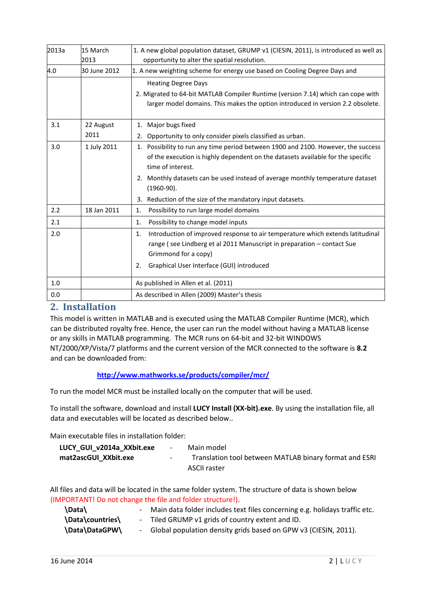| 2013a | 15 March<br>2013  | 1. A new global population dataset, GRUMP v1 (CIESIN, 2011), is introduced as well as<br>opportunity to alter the spatial resolution.                                                                                                     |
|-------|-------------------|-------------------------------------------------------------------------------------------------------------------------------------------------------------------------------------------------------------------------------------------|
| 4.0   | 30 June 2012      | 1. A new weighting scheme for energy use based on Cooling Degree Days and                                                                                                                                                                 |
|       |                   | <b>Heating Degree Days</b><br>2. Migrated to 64-bit MATLAB Compiler Runtime (version 7.14) which can cope with<br>larger model domains. This makes the option introduced in version 2.2 obsolete.                                         |
| 3.1   | 22 August<br>2011 | 1. Major bugs fixed<br>2. Opportunity to only consider pixels classified as urban.                                                                                                                                                        |
| 3.0   | 1 July 2011       | 1. Possibility to run any time period between 1900 and 2100. However, the success<br>of the execution is highly dependent on the datasets available for the specific<br>time of interest.                                                 |
|       |                   | 2. Monthly datasets can be used instead of average monthly temperature dataset<br>$(1960-90).$                                                                                                                                            |
|       |                   | 3. Reduction of the size of the mandatory input datasets.                                                                                                                                                                                 |
| 2.2   | 18 Jan 2011       | Possibility to run large model domains<br>1.                                                                                                                                                                                              |
| 2.1   |                   | Possibility to change model inputs<br>1.                                                                                                                                                                                                  |
| 2.0   |                   | Introduction of improved response to air temperature which extends latitudinal<br>1.<br>range (see Lindberg et al 2011 Manuscript in preparation - contact Sue<br>Grimmond for a copy)<br>2.<br>Graphical User Interface (GUI) introduced |
| 1.0   |                   | As published in Allen et al. (2011)                                                                                                                                                                                                       |
| 0.0   |                   | As described in Allen (2009) Master's thesis                                                                                                                                                                                              |

### <span id="page-1-0"></span>**2. Installation**

This model is written in MATLAB and is executed using the MATLAB Compiler Runtime (MCR), which can be distributed royalty free. Hence, the user can run the model without having a MATLAB license or any skills in MATLAB programming. The MCR runs on 64-bit and 32-bit WINDOWS NT/2000/XP/Vista/7 platforms and the current version of the MCR connected to the software is **8.2** and can be downloaded from:

#### **<http://www.mathworks.se/products/compiler/mcr/>**

To run the model MCR must be installed locally on the computer that will be used.

To install the software, download and install **LUCY Install (XX-bit).exe**. By using the installation file, all data and executables will be located as described below..

Main executable files in installation folder:

| LUCY GUI v2014a XXbit.exe | $\overline{a}$ | Main model                                             |
|---------------------------|----------------|--------------------------------------------------------|
| mat2ascGUI XXbit.exe      | $\sim$         | Translation tool between MATLAB binary format and ESRI |
|                           |                | ASCII raster                                           |

All files and data will be located in the same folder system. The structure of data is shown below (IMPORTANT! Do not change the file and folder structure!).

| \Data\           | - Main data folder includes text files concerning e.g. holidays traffic etc. |
|------------------|------------------------------------------------------------------------------|
| \Data\countries\ | - Tiled GRUMP v1 grids of country extent and ID.                             |
| \Data\DataGPW\   | - Global population density grids based on GPW v3 (CIESIN, 2011).            |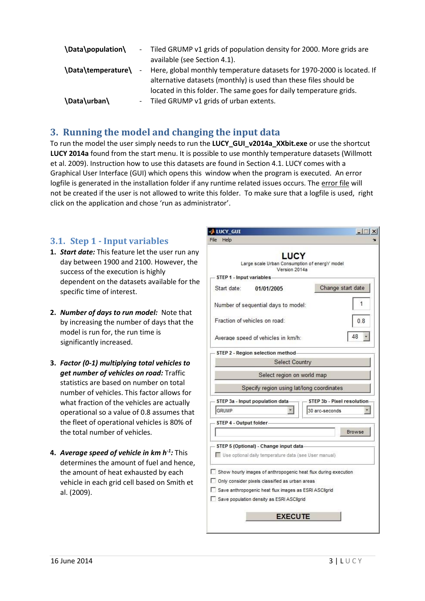| \Data\population\  |        | - Tiled GRUMP v1 grids of population density for 2000. More grids are  |
|--------------------|--------|------------------------------------------------------------------------|
|                    |        | available (see Section 4.1).                                           |
| \Data\temperature\ | $\sim$ | Here, global monthly temperature datasets for 1970-2000 is located. If |
|                    |        | alternative datasets (monthly) is used than these files should be      |
|                    |        | located in this folder. The same goes for daily temperature grids.     |
| \Data\urban\       |        | - Tiled GRUMP v1 grids of urban extents.                               |

### <span id="page-2-0"></span>**3. Running the model and changing the input data**

To run the model the user simply needs to run the **LUCY\_GUI\_v2014a\_XXbit.exe** or use the shortcut **LUCY 2014a** found from the start menu. It is possible to use monthly temperature datasets (Willmott et al. 2009). Instruction how to use this datasets are found in Section 4.1. LUCY comes with a Graphical User Interface (GUI) which opens this window when the program is executed. An error logfile is generated in the installation folder if any runtime related issues occurs. The error file will not be created if the user is not allowed to write this folder. To make sure that a logfile is used, right click on the application and chose 'run as administrator'.

### <span id="page-2-1"></span>**3.1. Step 1 - Input variables**

- **1.** *Start date:* This feature let the user run any day between 1900 and 2100. However, the success of the execution is highly dependent on the datasets available for the specific time of interest.
- **2.** *Number of days to run model:* Note that by increasing the number of days that the model is run for, the run time is significantly increased.
- **3.** *Factor (0-1) multiplying total vehicles to get number of vehicles on road:* Traffic statistics are based on number on total number of vehicles. This factor allows for what fraction of the vehicles are actually operational so a value of 0.8 assumes that the fleet of operational vehicles is 80% of the total number of vehicles.
- **4.** *Average speed of vehicle in km h-1 :* This determines the amount of fuel and hence, the amount of heat exhausted by each vehicle in each grid cell based on Smith et al. (2009).

| <b>LUCY GUI</b>                                                | $ \Box$ $\times$             |
|----------------------------------------------------------------|------------------------------|
| File<br>Help                                                   |                              |
| <b>LUCY</b>                                                    |                              |
| Large scale Urban Consumption of energY model                  |                              |
| Version 2014a                                                  |                              |
| STEP 1 - Input variables                                       |                              |
| Start date:<br>01/01/2005                                      | Change start date            |
|                                                                |                              |
| Number of sequential days to model:                            | 1                            |
|                                                                |                              |
| Fraction of vehicles on road:                                  | 0.8                          |
|                                                                | 48                           |
| Average speed of vehicles in km/h:                             |                              |
| STEP 2 - Region selection method-                              |                              |
| Select Country                                                 |                              |
|                                                                |                              |
| Select region on world map                                     |                              |
| Specify region using lat/long coordinates                      |                              |
|                                                                |                              |
| STEP 3a - Input population data-                               | - STEP 3b - Pixel resolution |
| GRUMP                                                          | 30 arc-seconds               |
| STEP 4 - Output folder-                                        |                              |
|                                                                | <b>Browse</b>                |
|                                                                |                              |
| STEP 5 (Optional) - Change input data-                         |                              |
| Use optional daily temperature data (see User manual)          |                              |
|                                                                |                              |
| Show hourly images of anthropogenic heat flux during execution |                              |
| Only consider pixels classified as urban areas                 |                              |
| Save anthropogenic heat flux images as ESRI ASCIIgrid          |                              |
| Save population density as ESRI ASCIIgrid                      |                              |
|                                                                |                              |
| <b>EXECUTE</b>                                                 |                              |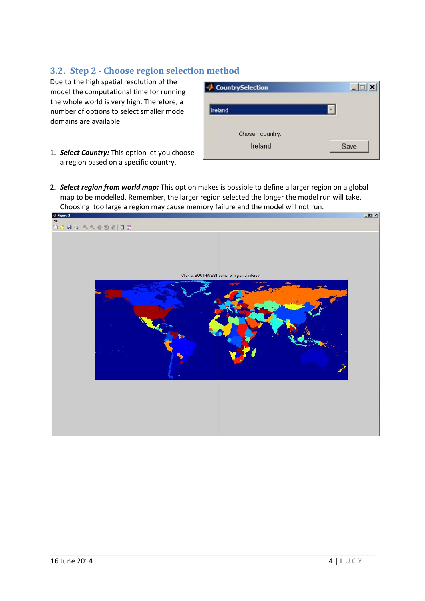### <span id="page-3-0"></span>**3.2. Step 2 - Choose region selection method**

Due to the high spatial resolution of the model the computational time for running the whole world is very high. Therefore, a number of options to select smaller model domains are available:

| Ireland         |  |
|-----------------|--|
|                 |  |
| Chosen country: |  |

- 1. *Select Country:* This option let you choose a region based on a specific country.
- 2. *Select region from world map:* This option makes is possible to define a larger region on a global map to be modelled. Remember, the larger region selected the longer the model run will take. Choosing too large a region may cause memory failure and the model will not run.<br>
I Figure 1

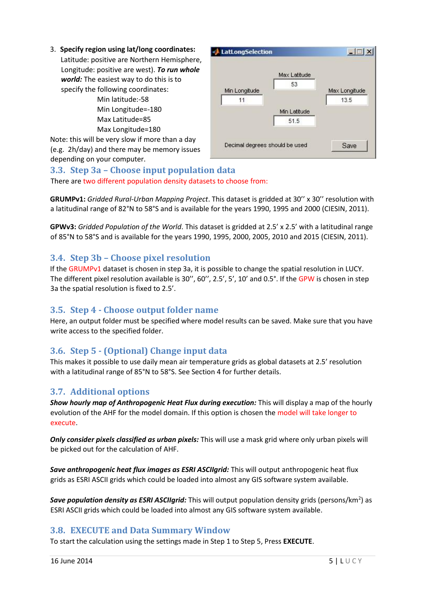#### 3. **Specify region using lat/long coordinates:**

Latitude: positive are Northern Hemisphere, Longitude: positive are west). *To run whole world:* The easiest way to do this is to specify the following coordinates:

Min latitude:-58 Min Longitude=-180 Max Latitude=85 Max Longitude=180

Note: this will be very slow if more than a day (e.g. 2h/day) and there may be memory issues depending on your computer.



### <span id="page-4-0"></span>**3.3. Step 3a – Choose input population data**

There are two different population density datasets to choose from:

**GRUMPv1:** *Gridded Rural-Urban Mapping Project*. This dataset is gridded at 30'' x 30'' resolution with a latitudinal range of 82°N to 58°S and is available for the years 1990, 1995 and 2000 (CIESIN, 2011).

**GPWv3:** *Gridded Population of the World*. This dataset is gridded at 2.5' x 2.5' with a latitudinal range of 85°N to 58°S and is available for the years 1990, 1995, 2000, 2005, 2010 and 2015 (CIESIN, 2011).

### <span id="page-4-1"></span>**3.4. Step 3b – Choose pixel resolution**

If the GRUMPv1 dataset is chosen in step 3a, it is possible to change the spatial resolution in LUCY. The different pixel resolution available is 30'', 60'', 2.5', 5', 10' and 0.5°. If the GPW is chosen in step 3a the spatial resolution is fixed to 2.5'.

### <span id="page-4-2"></span>**3.5. Step 4 - Choose output folder name**

Here, an output folder must be specified where model results can be saved. Make sure that you have write access to the specified folder.

### <span id="page-4-3"></span>**3.6. Step 5 - (Optional) Change input data**

This makes it possible to use daily mean air temperature grids as global datasets at 2.5' resolution with a latitudinal range of 85°N to 58°S. See Section 4 for further details.

### <span id="page-4-4"></span>**3.7. Additional options**

*Show hourly map of Anthropogenic Heat Flux during execution:* This will display a map of the hourly evolution of the AHF for the model domain. If this option is chosen the model will take longer to execute.

*Only consider pixels classified as urban pixels:* This will use a mask grid where only urban pixels will be picked out for the calculation of AHF.

*Save anthropogenic heat flux images as ESRI ASCIIgrid:* This will output anthropogenic heat flux grids as ESRI ASCII grids which could be loaded into almost any GIS software system available.

Save population density as ESRI ASCIIgrid: This will output population density grids (persons/km<sup>2</sup>) as ESRI ASCII grids which could be loaded into almost any GIS software system available.

### <span id="page-4-5"></span>**3.8. EXECUTE and Data Summary Window**

To start the calculation using the settings made in Step 1 to Step 5, Press **EXECUTE**.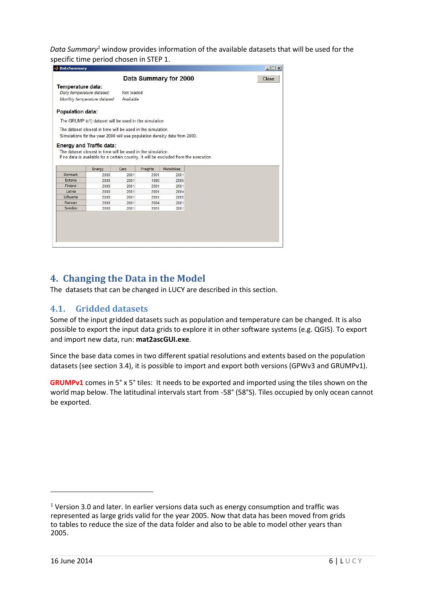*Data Summary<sup>1</sup>* window provides information of the available datasets that will be used for the specific time period chosen in STEP 1.  $\overline{\phantom{a}}$ 

| Temperature data:          |                                                                                        |            |                  | Data Summary for 2000 |  | Close |
|----------------------------|----------------------------------------------------------------------------------------|------------|------------------|-----------------------|--|-------|
| Daily temperature dataset: |                                                                                        |            |                  |                       |  |       |
|                            |                                                                                        | Not loaded |                  |                       |  |       |
|                            | Monthly temperature dataset:                                                           | Available  |                  |                       |  |       |
| <b>Population data:</b>    |                                                                                        |            |                  |                       |  |       |
|                            | The GRUMP (v1) dataset will be used in the simulation                                  |            |                  |                       |  |       |
|                            | The dataset closest in time will be used in the simulation.                            |            |                  |                       |  |       |
|                            |                                                                                        |            |                  |                       |  |       |
|                            | Simulations for the year 2000 will use population density data from 2000.              |            |                  |                       |  |       |
|                            |                                                                                        |            |                  |                       |  |       |
|                            |                                                                                        |            |                  |                       |  |       |
|                            | <b>Energy and Traffic data:</b>                                                        |            |                  |                       |  |       |
|                            |                                                                                        |            |                  |                       |  |       |
|                            | The dataset closest in time will be used in the simulation.                            |            |                  |                       |  |       |
|                            | If no data is available for a certain country, it will be excluded from the execution. |            |                  |                       |  |       |
|                            |                                                                                        | Cars       |                  | Motorbikes            |  |       |
| <b>Denmark</b>             | Energy<br>2000                                                                         | 2001       | Freights<br>2001 | 2001                  |  |       |
| Estonia                    | 2000                                                                                   | 2001       | 1995             | 2005                  |  |       |
| Finland                    | 2000                                                                                   | 2001       | 2001             | 2001                  |  |       |
| Latvia                     | 2000                                                                                   | 2001       | 2001             | 2004                  |  |       |
| Lithuania                  | 2000                                                                                   | 2001       | 2001             | 2005                  |  |       |
| Norway<br>Sweden           | 2000                                                                                   | 2001       | 2004             | 2001                  |  |       |

### <span id="page-5-0"></span>**4. Changing the Data in the Model**

The datasets that can be changed in LUCY are described in this section.

### <span id="page-5-1"></span>**4.1. Gridded datasets**

Some of the input gridded datasets such as population and temperature can be changed. It is also possible to export the input data grids to explore it in other software systems (e.g. QGIS). To export and import new data, run: **mat2ascGUI.exe**.

Since the base data comes in two different spatial resolutions and extents based on the population datasets (see section 3.4), it is possible to import and export both versions (GPWv3 and GRUMPv1).

**GRUMPv1** comes in 5° x 5° tiles: It needs to be exported and imported using the tiles shown on the world map below. The latitudinal intervals start from -58° (58°S). Tiles occupied by only ocean cannot be exported.

 $\overline{a}$ 

 $1$  Version 3.0 and later. In earlier versions data such as energy consumption and traffic was represented as large grids valid for the year 2005. Now that data has been moved from grids to tables to reduce the size of the data folder and also to be able to model other years than 2005.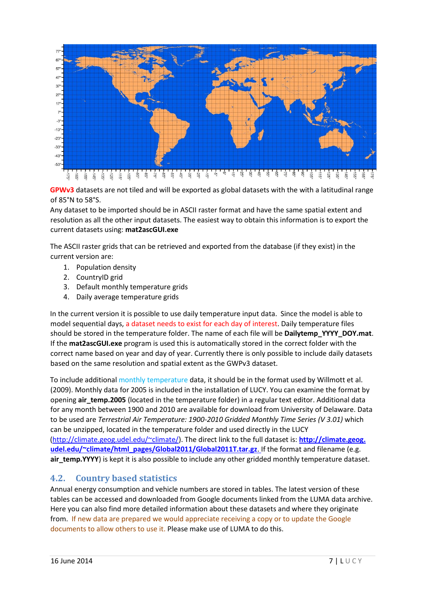

**GPWv3** datasets are not tiled and will be exported as global datasets with the with a latitudinal range of 85°N to 58°S.

Any dataset to be imported should be in ASCII raster format and have the same spatial extent and resolution as all the other input datasets. The easiest way to obtain this information is to export the current datasets using: **mat2ascGUI.exe** 

The ASCII raster grids that can be retrieved and exported from the database (if they exist) in the current version are:

- 1. Population density
- 2. CountryID grid
- 3. Default monthly temperature grids
- 4. Daily average temperature grids

In the current version it is possible to use daily temperature input data. Since the model is able to model sequential days, a dataset needs to exist for each day of interest. Daily temperature files should be stored in the temperature folder. The name of each file will be **Dailytemp\_YYYY\_DOY.mat**. If the **mat2ascGUI.exe** program is used this is automatically stored in the correct folder with the correct name based on year and day of year. Currently there is only possible to include daily datasets based on the same resolution and spatial extent as the GWPv3 dataset.

To include additional monthly temperature data, it should be in the format used by Willmott et al. (2009). Monthly data for 2005 is included in the installation of LUCY. You can examine the format by opening **air\_temp.2005** (located in the temperature folder) in a regular text editor. Additional data for any month between 1900 and 2010 are available for download from University of Delaware. Data to be used are *Terrestrial Air Temperature: 1900-2010 Gridded Monthly Time Series (V 3.01)* which can be unzipped, located in the temperature folder and used directly in the LUCY [\(http://climate.geog.udel.edu/~climate/\).](http://climate.geog.udel.edu/~climate/) The direct link to the full dataset is: **http://climate.geog.** udel.edu/~climate/html\_pages/Global2011/Global2011T.tar.gz. If the format and filename (e.g. **air\_temp.YYYY**) is kept it is also possible to include any other gridded monthly temperature dataset.

### <span id="page-6-0"></span>**4.2. Country based statistics**

Annual energy consumption and vehicle numbers are stored in tables. The latest version of these tables can be accessed and downloaded from Google documents linked from the LUMA data archive. Here you can also find more detailed information about these datasets and where they originate from. If new data are prepared we would appreciate receiving a copy or to update the Google documents to allow others to use it. Please make use of LUMA to do this.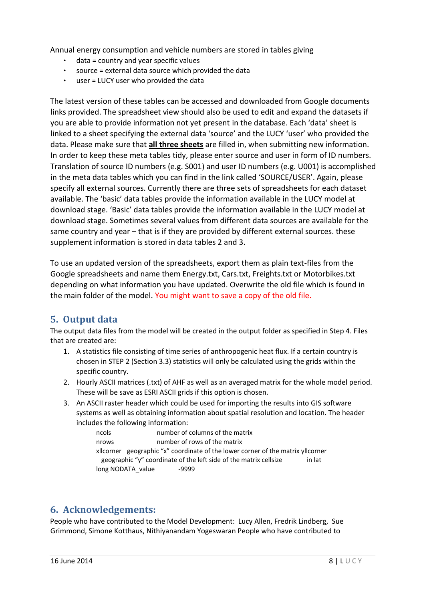Annual energy consumption and vehicle numbers are stored in tables giving

- data = country and year specific values
- source = external data source which provided the data
- user = LUCY user who provided the data

The latest version of these tables can be accessed and downloaded from Google documents links provided. The spreadsheet view should also be used to edit and expand the datasets if you are able to provide information not yet present in the database. Each 'data' sheet is linked to a sheet specifying the external data 'source' and the LUCY 'user' who provided the data. Please make sure that **all three sheets** are filled in, when submitting new information. In order to keep these meta tables tidy, please enter source and user in form of ID numbers. Translation of source ID numbers (e.g. S001) and user ID numbers (e.g. U001) is accomplished in the meta data tables which you can find in the link called 'SOURCE/USER'. Again, please specify all external sources. Currently there are three sets of spreadsheets for each dataset available. The 'basic' data tables provide the information available in the LUCY model at download stage. 'Basic' data tables provide the information available in the LUCY model at download stage. Sometimes several values from different data sources are available for the same country and year – that is if they are provided by different external sources. these supplement information is stored in data tables 2 and 3.

To use an updated version of the spreadsheets, export them as plain text-files from the Google spreadsheets and name them Energy.txt, Cars.txt, Freights.txt or Motorbikes.txt depending on what information you have updated. Overwrite the old file which is found in the main folder of the model. You might want to save a copy of the old file.

## <span id="page-7-0"></span>**5. Output data**

The output data files from the model will be created in the output folder as specified in Step 4. Files that are created are:

- 1. A statistics file consisting of time series of anthropogenic heat flux. If a certain country is chosen in STEP 2 (Section 3.3) statistics will only be calculated using the grids within the specific country.
- 2. Hourly ASCII matrices (.txt) of AHF as well as an averaged matrix for the whole model period. These will be save as ESRI ASCII grids if this option is chosen.
- 3. An ASCII raster header which could be used for importing the results into GIS software systems as well as obtaining information about spatial resolution and location. The header includes the following information:

| ncols | number of columns of the matrix                                                 |        |
|-------|---------------------------------------------------------------------------------|--------|
| nrows | number of rows of the matrix                                                    |        |
|       | xilcorner geographic "x" coordinate of the lower corner of the matrix yilcorner |        |
|       | geographic "y" coordinate of the left side of the matrix cellsize               | in lat |
|       | long NODATA value<br>-9999                                                      |        |

### <span id="page-7-1"></span>**6. Acknowledgements:**

People who have contributed to the Model Development: Lucy Allen, Fredrik Lindberg, Sue Grimmond, Simone Kotthaus, Nithiyanandam Yogeswaran People who have contributed to